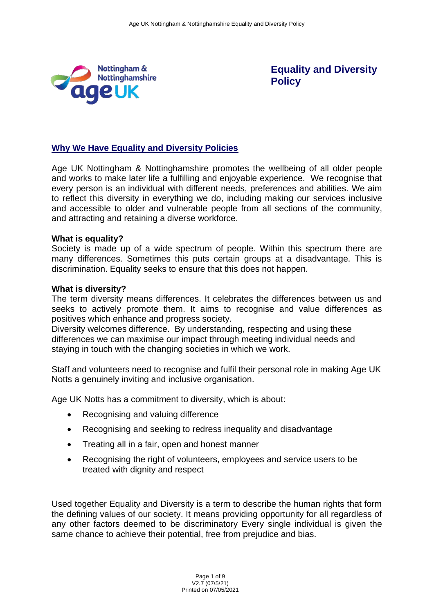

**Equality and Diversity Policy**

# **Why We Have Equality and Diversity Policies**

Age UK Nottingham & Nottinghamshire promotes the wellbeing of all older people and works to make later life a fulfilling and enjoyable experience. We recognise that every person is an individual with different needs, preferences and abilities. We aim to reflect this diversity in everything we do, including making our services inclusive and accessible to older and vulnerable people from all sections of the community, and attracting and retaining a diverse workforce.

#### **What is equality?**

Society is made up of a wide spectrum of people. Within this spectrum there are many differences. Sometimes this puts certain groups at a disadvantage. This is discrimination. Equality seeks to ensure that this does not happen.

#### **What is diversity?**

The term diversity means differences. It celebrates the differences between us and seeks to actively promote them. It aims to recognise and value differences as positives which enhance and progress society.

Diversity welcomes difference. By understanding, respecting and using these differences we can maximise our impact through meeting individual needs and staying in touch with the changing societies in which we work.

Staff and volunteers need to recognise and fulfil their personal role in making Age UK Notts a genuinely inviting and inclusive organisation.

Age UK Notts has a commitment to diversity, which is about:

- Recognising and valuing difference
- Recognising and seeking to redress inequality and disadvantage
- Treating all in a fair, open and honest manner
- Recognising the right of volunteers, employees and service users to be treated with dignity and respect

Used together Equality and Diversity is a term to describe the human rights that form the defining values of our society. It means providing opportunity for all regardless of any other factors deemed to be discriminatory Every single individual is given the same chance to achieve their potential, free from prejudice and bias.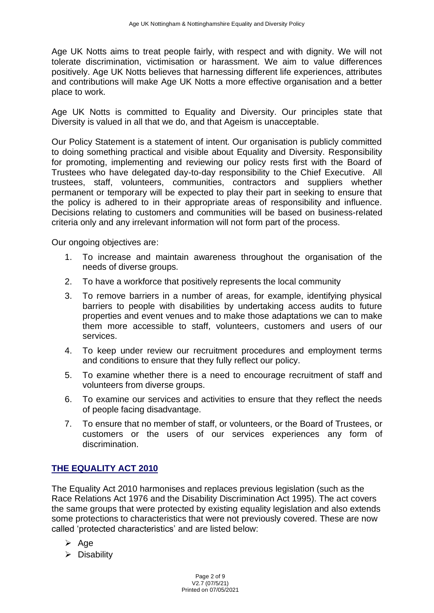Age UK Notts aims to treat people fairly, with respect and with dignity. We will not tolerate discrimination, victimisation or harassment. We aim to value differences positively. Age UK Notts believes that harnessing different life experiences, attributes and contributions will make Age UK Notts a more effective organisation and a better place to work.

Age UK Notts is committed to Equality and Diversity. Our principles state that Diversity is valued in all that we do, and that Ageism is unacceptable.

Our Policy Statement is a statement of intent. Our organisation is publicly committed to doing something practical and visible about Equality and Diversity. Responsibility for promoting, implementing and reviewing our policy rests first with the Board of Trustees who have delegated day-to-day responsibility to the Chief Executive. All trustees, staff, volunteers, communities, contractors and suppliers whether permanent or temporary will be expected to play their part in seeking to ensure that the policy is adhered to in their appropriate areas of responsibility and influence. Decisions relating to customers and communities will be based on business-related criteria only and any irrelevant information will not form part of the process.

Our ongoing objectives are:

- 1. To increase and maintain awareness throughout the organisation of the needs of diverse groups.
- 2. To have a workforce that positively represents the local community
- 3. To remove barriers in a number of areas, for example, identifying physical barriers to people with disabilities by undertaking access audits to future properties and event venues and to make those adaptations we can to make them more accessible to staff, volunteers, customers and users of our services.
- 4. To keep under review our recruitment procedures and employment terms and conditions to ensure that they fully reflect our policy.
- 5. To examine whether there is a need to encourage recruitment of staff and volunteers from diverse groups.
- 6. To examine our services and activities to ensure that they reflect the needs of people facing disadvantage.
- 7. To ensure that no member of staff, or volunteers, or the Board of Trustees, or customers or the users of our services experiences any form of discrimination.

# **THE EQUALITY ACT 2010**

The Equality Act 2010 harmonises and replaces previous legislation (such as the Race Relations Act 1976 and the Disability Discrimination Act 1995). The act covers the same groups that were protected by existing equality legislation and also extends some protections to characteristics that were not previously covered. These are now called 'protected characteristics' and are listed below:

- ➢ Age
- ➢ Disability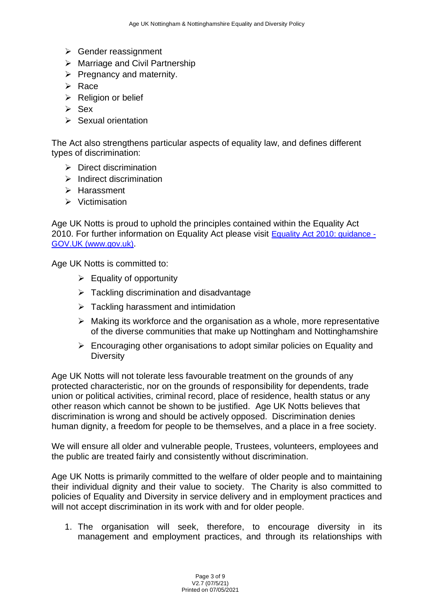- ➢ Gender reassignment
- ➢ Marriage and Civil Partnership
- $\triangleright$  Pregnancy and maternity.
- ➢ Race
- ➢ Religion or belief
- ➢ Sex
- ➢ Sexual orientation

The Act also strengthens particular aspects of equality law, and defines different types of discrimination:

- $\triangleright$  Direct discrimination
- ➢ Indirect discrimination
- ➢ Harassment
- ➢ Victimisation

Age UK Notts is proud to uphold the principles contained within the Equality Act 2010. For further information on Equality Act please visit **[Equality Act 2010: guidance -](https://www.gov.uk/guidance/equality-act-2010-guidance)** [GOV.UK \(www.gov.uk\)](https://www.gov.uk/guidance/equality-act-2010-guidance).

Age UK Notts is committed to:

- $\triangleright$  Equality of opportunity
- $\triangleright$  Tackling discrimination and disadvantage
- ➢ Tackling harassment and intimidation
- ➢ Making its workforce and the organisation as a whole, more representative of the diverse communities that make up Nottingham and Nottinghamshire
- ➢ Encouraging other organisations to adopt similar policies on Equality and **Diversity**

Age UK Notts will not tolerate less favourable treatment on the grounds of any protected characteristic, nor on the grounds of responsibility for dependents, trade union or political activities, criminal record, place of residence, health status or any other reason which cannot be shown to be justified. Age UK Notts believes that discrimination is wrong and should be actively opposed. Discrimination denies human dignity, a freedom for people to be themselves, and a place in a free society.

We will ensure all older and vulnerable people, Trustees, volunteers, employees and the public are treated fairly and consistently without discrimination.

Age UK Notts is primarily committed to the welfare of older people and to maintaining their individual dignity and their value to society. The Charity is also committed to policies of Equality and Diversity in service delivery and in employment practices and will not accept discrimination in its work with and for older people.

1. The organisation will seek, therefore, to encourage diversity in its management and employment practices, and through its relationships with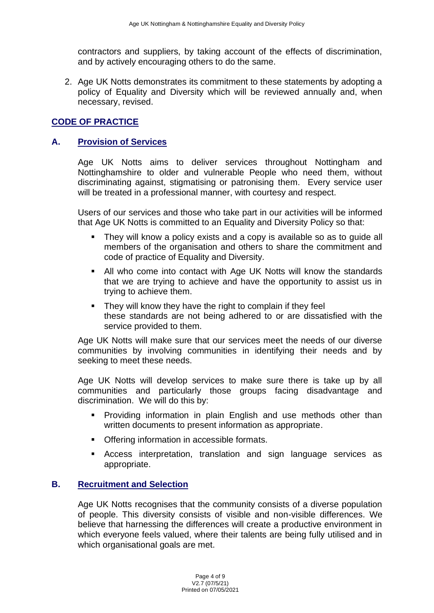contractors and suppliers, by taking account of the effects of discrimination, and by actively encouraging others to do the same.

2. Age UK Notts demonstrates its commitment to these statements by adopting a policy of Equality and Diversity which will be reviewed annually and, when necessary, revised.

# **CODE OF PRACTICE**

### **A. Provision of Services**

Age UK Notts aims to deliver services throughout Nottingham and Nottinghamshire to older and vulnerable People who need them, without discriminating against, stigmatising or patronising them. Every service user will be treated in a professional manner, with courtesy and respect.

Users of our services and those who take part in our activities will be informed that Age UK Notts is committed to an Equality and Diversity Policy so that:

- They will know a policy exists and a copy is available so as to quide all members of the organisation and others to share the commitment and code of practice of Equality and Diversity.
- All who come into contact with Age UK Notts will know the standards that we are trying to achieve and have the opportunity to assist us in trying to achieve them.
- They will know they have the right to complain if they feel these standards are not being adhered to or are dissatisfied with the service provided to them.

Age UK Notts will make sure that our services meet the needs of our diverse communities by involving communities in identifying their needs and by seeking to meet these needs.

Age UK Notts will develop services to make sure there is take up by all communities and particularly those groups facing disadvantage and discrimination. We will do this by:

- **•** Providing information in plain English and use methods other than written documents to present information as appropriate.
- Offering information in accessible formats.
- **EXP** Access interpretation, translation and sign language services as appropriate.

### **B. Recruitment and Selection**

Age UK Notts recognises that the community consists of a diverse population of people. This diversity consists of visible and non-visible differences. We believe that harnessing the differences will create a productive environment in which everyone feels valued, where their talents are being fully utilised and in which organisational goals are met.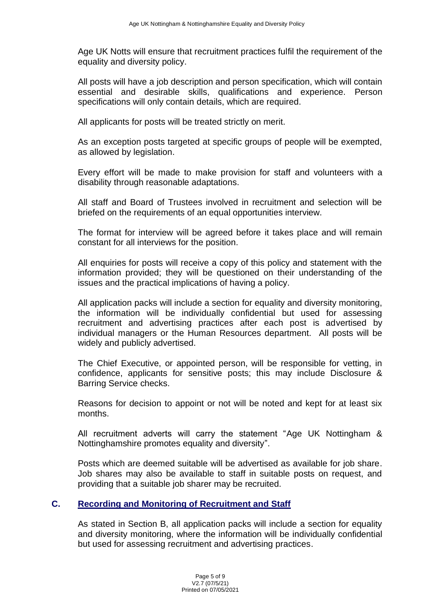Age UK Notts will ensure that recruitment practices fulfil the requirement of the equality and diversity policy.

All posts will have a job description and person specification, which will contain essential and desirable skills, qualifications and experience. Person specifications will only contain details, which are required.

All applicants for posts will be treated strictly on merit.

As an exception posts targeted at specific groups of people will be exempted, as allowed by legislation.

Every effort will be made to make provision for staff and volunteers with a disability through reasonable adaptations.

All staff and Board of Trustees involved in recruitment and selection will be briefed on the requirements of an equal opportunities interview.

The format for interview will be agreed before it takes place and will remain constant for all interviews for the position.

All enquiries for posts will receive a copy of this policy and statement with the information provided; they will be questioned on their understanding of the issues and the practical implications of having a policy.

All application packs will include a section for equality and diversity monitoring, the information will be individually confidential but used for assessing recruitment and advertising practices after each post is advertised by individual managers or the Human Resources department. All posts will be widely and publicly advertised.

The Chief Executive, or appointed person, will be responsible for vetting, in confidence, applicants for sensitive posts; this may include Disclosure & Barring Service checks.

Reasons for decision to appoint or not will be noted and kept for at least six months.

All recruitment adverts will carry the statement "Age UK Nottingham & Nottinghamshire promotes equality and diversity".

Posts which are deemed suitable will be advertised as available for job share. Job shares may also be available to staff in suitable posts on request, and providing that a suitable job sharer may be recruited.

# **C. Recording and Monitoring of Recruitment and Staff**

As stated in Section B, all application packs will include a section for equality and diversity monitoring, where the information will be individually confidential but used for assessing recruitment and advertising practices.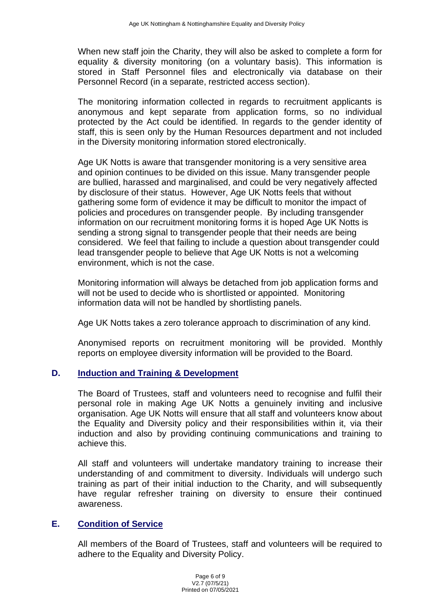When new staff join the Charity, they will also be asked to complete a form for equality & diversity monitoring (on a voluntary basis). This information is stored in Staff Personnel files and electronically via database on their Personnel Record (in a separate, restricted access section).

The monitoring information collected in regards to recruitment applicants is anonymous and kept separate from application forms, so no individual protected by the Act could be identified. In regards to the gender identity of staff, this is seen only by the Human Resources department and not included in the Diversity monitoring information stored electronically.

Age UK Notts is aware that transgender monitoring is a very sensitive area and opinion continues to be divided on this issue. Many transgender people are bullied, harassed and marginalised, and could be very negatively affected by disclosure of their status. However, Age UK Notts feels that without gathering some form of evidence it may be difficult to monitor the impact of policies and procedures on transgender people. By including transgender information on our recruitment monitoring forms it is hoped Age UK Notts is sending a strong signal to transgender people that their needs are being considered. We feel that failing to include a question about transgender could lead transgender people to believe that Age UK Notts is not a welcoming environment, which is not the case.

Monitoring information will always be detached from job application forms and will not be used to decide who is shortlisted or appointed. Monitoring information data will not be handled by shortlisting panels.

Age UK Notts takes a zero tolerance approach to discrimination of any kind.

Anonymised reports on recruitment monitoring will be provided. Monthly reports on employee diversity information will be provided to the Board.

# **D. Induction and Training & Development**

The Board of Trustees, staff and volunteers need to recognise and fulfil their personal role in making Age UK Notts a genuinely inviting and inclusive organisation. Age UK Notts will ensure that all staff and volunteers know about the Equality and Diversity policy and their responsibilities within it, via their induction and also by providing continuing communications and training to achieve this.

All staff and volunteers will undertake mandatory training to increase their understanding of and commitment to diversity. Individuals will undergo such training as part of their initial induction to the Charity, and will subsequently have regular refresher training on diversity to ensure their continued awareness.

# **E. Condition of Service**

All members of the Board of Trustees, staff and volunteers will be required to adhere to the Equality and Diversity Policy.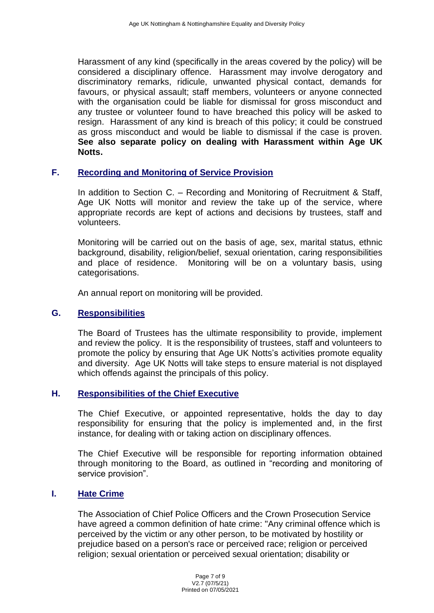Harassment of any kind (specifically in the areas covered by the policy) will be considered a disciplinary offence. Harassment may involve derogatory and discriminatory remarks, ridicule, unwanted physical contact, demands for favours, or physical assault; staff members, volunteers or anyone connected with the organisation could be liable for dismissal for gross misconduct and any trustee or volunteer found to have breached this policy will be asked to resign. Harassment of any kind is breach of this policy; it could be construed as gross misconduct and would be liable to dismissal if the case is proven. **See also separate policy on dealing with Harassment within Age UK Notts.**

# **F. Recording and Monitoring of Service Provision**

In addition to Section C. – Recording and Monitoring of Recruitment & Staff, Age UK Notts will monitor and review the take up of the service, where appropriate records are kept of actions and decisions by trustees, staff and volunteers.

Monitoring will be carried out on the basis of age, sex, marital status, ethnic background, disability, religion/belief, sexual orientation, caring responsibilities and place of residence. Monitoring will be on a voluntary basis, using categorisations.

An annual report on monitoring will be provided.

### **G. Responsibilities**

The Board of Trustees has the ultimate responsibility to provide, implement and review the policy. It is the responsibility of trustees, staff and volunteers to promote the policy by ensuring that Age UK Notts's activities promote equality and diversity. Age UK Notts will take steps to ensure material is not displayed which offends against the principals of this policy.

### **H. Responsibilities of the Chief Executive**

The Chief Executive, or appointed representative, holds the day to day responsibility for ensuring that the policy is implemented and, in the first instance, for dealing with or taking action on disciplinary offences.

The Chief Executive will be responsible for reporting information obtained through monitoring to the Board, as outlined in "recording and monitoring of service provision".

#### **I. Hate Crime**

The Association of Chief Police Officers and the Crown Prosecution Service have agreed a common definition of hate crime: "Any criminal offence which is perceived by the victim or any other person, to be motivated by hostility or prejudice based on a person's race or perceived race; religion or perceived religion; sexual orientation or perceived sexual orientation; disability or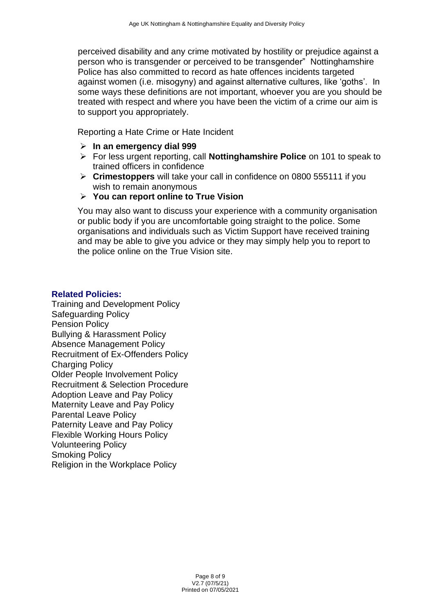perceived disability and any crime motivated by hostility or prejudice against a person who is transgender or perceived to be transgender" Nottinghamshire Police has also committed to record as hate offences incidents targeted against women (i.e. misogyny) and against alternative cultures, like 'goths'. In some ways these definitions are not important, whoever you are you should be treated with respect and where you have been the victim of a crime our aim is to support you appropriately.

Reporting a Hate Crime or Hate Incident

- ➢ **In an emergency dial 999**
- ➢ For less urgent reporting, call **Nottinghamshire Police** on 101 to speak to trained officers in confidence
- ➢ **Crimestoppers** will take your call in confidence on 0800 555111 if you wish to remain anonymous

#### ➢ **[You can report online to True Vision](http://www.report-it.org.uk/home)**

You may also want to discuss your experience with a community organisation or public body if you are uncomfortable going straight to the police. Some organisations and individuals such as Victim Support have received training and may be able to give you advice or they may simply help you to report to the police online on the [True Vision site.](http://www.report-it.org.uk/home)

#### **Related Policies:**

Training and Development Policy Safeguarding Policy Pension Policy Bullying & Harassment Policy Absence Management Policy Recruitment of Ex-Offenders Policy Charging Policy Older People Involvement Policy Recruitment & Selection Procedure Adoption Leave and Pay Policy Maternity Leave and Pay Policy Parental Leave Policy Paternity Leave and Pay Policy Flexible Working Hours Policy Volunteering Policy Smoking Policy Religion in the Workplace Policy